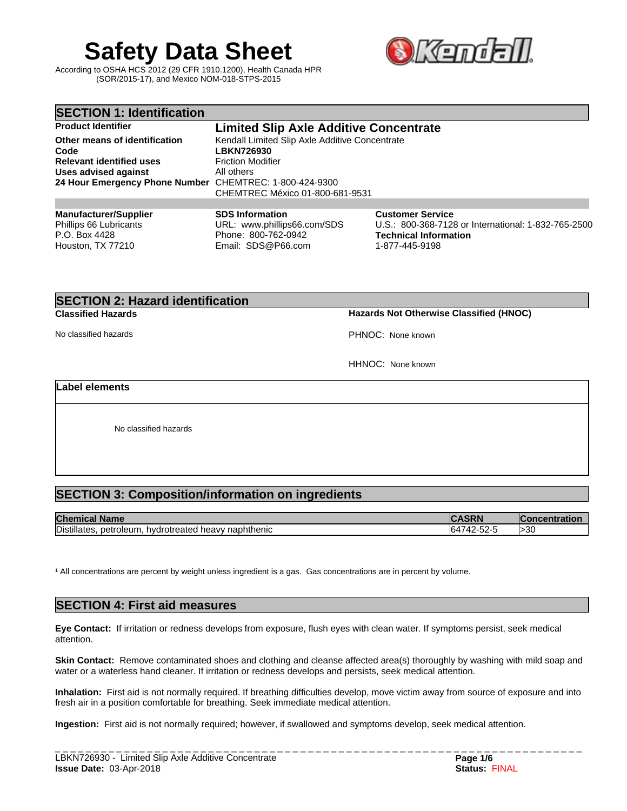# **Safety Data Sheet**

According to OSHA HCS 2012 (29 CFR 1910.1200), Health Canada HPR (SOR/2015-17), and Mexico NOM-018-STPS-2015



| <b>SECTION 1: Identification</b>                                        |                                                                              |                                                                                                         |  |
|-------------------------------------------------------------------------|------------------------------------------------------------------------------|---------------------------------------------------------------------------------------------------------|--|
| <b>Product Identifier</b>                                               | <b>Limited Slip Axle Additive Concentrate</b>                                |                                                                                                         |  |
| Other means of identification<br>Code                                   | Kendall Limited Slip Axle Additive Concentrate<br><b>LBKN726930</b>          |                                                                                                         |  |
| <b>Relevant identified uses</b>                                         | <b>Friction Modifier</b>                                                     |                                                                                                         |  |
| Uses advised against                                                    | All others                                                                   |                                                                                                         |  |
| 24 Hour Emergency Phone Number CHEMTREC: 1-800-424-9300                 | CHEMTREC México 01-800-681-9531                                              |                                                                                                         |  |
|                                                                         |                                                                              |                                                                                                         |  |
| <b>Manufacturer/Supplier</b><br>Phillips 66 Lubricants<br>P.O. Box 4428 | <b>SDS Information</b><br>URL: www.phillips66.com/SDS<br>Phone: 800-762-0942 | <b>Customer Service</b><br>U.S.: 800-368-7128 or International: 1-832-765-2500<br>Technical Information |  |

# **SECTION 2: Hazard identification**

Houston, TX 77210

**Classified Hazards Hazards Not Otherwise Classified (HNOC)**

No classified hazards PHNOC: None known

1-877-445-9198

HHNOC: None known

# **Label elements**

No classified hazards

# **SECTION 3: Composition/information on ingredients**

| <b>Chemical</b><br><b>Name</b>                                                    | R                                            | ncentratior<br>…one |
|-----------------------------------------------------------------------------------|----------------------------------------------|---------------------|
| Distilla<br>∵naphthenic<br>heavv.<br>netroleum<br>btreated<br>าvdrotre<br>llates. | $-\sim$<br>$\sim$<br>ĸд<br>-⊃∠-<br>T4<br>1U- | >30                 |

<sup>1</sup> All concentrations are percent by weight unless ingredient is a gas. Gas concentrations are in percent by volume.

Email: SDS@P66.com

# **SECTION 4: First aid measures**

**Eye Contact:** Ifirritation or redness develops from exposure, flush eyes with clean water. If symptoms persist, seek medical attention.

**Skin Contact:** Remove contaminated shoes and clothing and cleanse affected area(s) thoroughly by washing with mild soap and water or a waterless hand cleaner. If irritation or redness develops and persists, seek medical attention.

Inhalation: First aid is not normally required. If breathing difficulties develop, move victim away from source of exposure and into fresh air in a position comfortable for breathing. Seek immediate medical attention.

**Ingestion:** First aid is not normally required; however, if swallowed and symptoms develop, seek medical attention.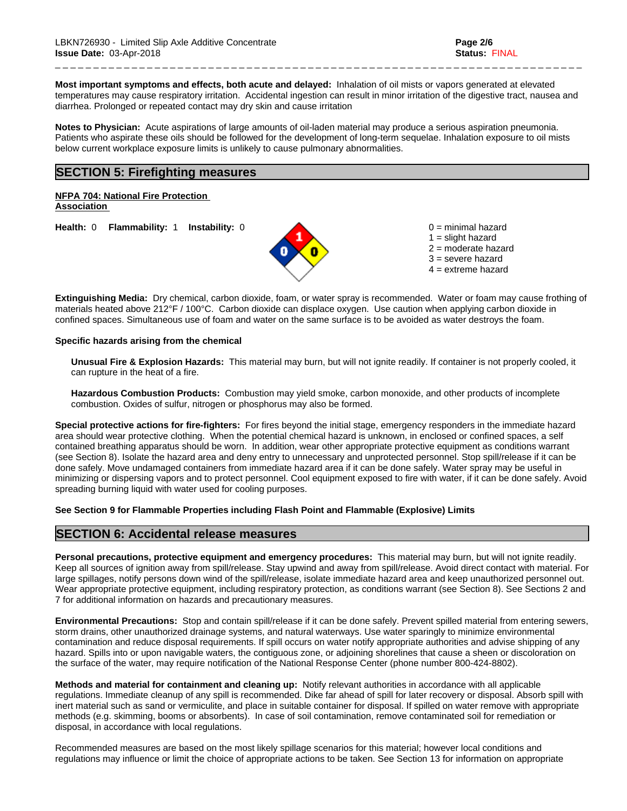**Most important symptoms and effects, both acute and delayed:** Inhalation of oil mists or vapors generated at elevated temperatures may cause respiratory irritation. Accidental ingestion can result in minor irritation of the digestive tract, nausea and diarrhea. Prolonged or repeated contact may dry skin and cause irritation

\_ \_ \_ \_ \_ \_ \_ \_ \_ \_ \_ \_ \_ \_ \_ \_ \_ \_ \_ \_ \_ \_ \_ \_ \_ \_ \_ \_ \_ \_ \_ \_ \_ \_ \_ \_ \_ \_ \_ \_ \_ \_ \_ \_ \_ \_ \_ \_ \_ \_ \_ \_ \_ \_ \_ \_ \_ \_ \_ \_ \_ \_ \_ \_ \_ \_ \_ \_ \_

**Notes to Physician:**Acute aspirations of large amounts of oil-laden material may produce a serious aspiration pneumonia. Patients who aspirate these oils should be followed for the development of long-term sequelae. Inhalation exposure to oil mists below current workplace exposure limits is unlikely to cause pulmonary abnormalities.

# **SECTION 5: Firefighting measures**

**NFPA 704: National Fire Protection Association** 

**Health:** 0 **Flammability:** 1 **Instability:** 0 0 = minimal hazard



 $1 =$  slight hazard 2 = moderate hazard 3 = severe hazard  $4 =$  extreme hazard

**Extinguishing Media:** Dry chemical, carbon dioxide, foam, or water spray is recommended. Water or foam may cause frothing of materials heated above 212°F / 100°C. Carbon dioxide can displace oxygen. Use caution when applying carbon dioxide in confined spaces. Simultaneous use of foam and water on the same surface is to be avoided as water destroys the foam.

#### **Specific hazards arising from the chemical**

**Unusual Fire & Explosion Hazards:** This material may burn, butwill not ignite readily. If container is not properly cooled, it can rupture in the heat of a fire.

**Hazardous Combustion Products:** Combustion may yield smoke, carbon monoxide, and other products of incomplete combustion. Oxides of sulfur, nitrogen or phosphorus may also be formed.

**Special protective actions for fire-fighters:** For fires beyond the initial stage, emergency responders in the immediate hazard area should wear protective clothing. When the potential chemical hazard is unknown, in enclosed or confined spaces, a self contained breathing apparatus should be worn. In addition, wear other appropriate protective equipment as conditions warrant (see Section 8). Isolate the hazard area and deny entry to unnecessary and unprotected personnel. Stop spill/release if it can be done safely. Move undamaged containers from immediate hazard area if it can be done safely. Water spray may be useful in minimizing or dispersing vapors and to protect personnel. Cool equipment exposed to fire with water, if it can be done safely. Avoid spreading burning liquid with water used for cooling purposes.

## **See Section 9 for Flammable Properties including Flash Point and Flammable (Explosive) Limits**

# **SECTION 6: Accidental release measures**

**Personal precautions, protective equipment and emergency procedures:** This material may burn, butwill not ignite readily. Keep all sources of ignition away from spill/release. Stay upwind and away from spill/release. Avoid direct contact with material. For large spillages, notify persons down wind of the spill/release, isolate immediate hazard area and keep unauthorized personnel out. Wear appropriate protective equipment, including respiratory protection, as conditions warrant (see Section 8). See Sections 2 and 7 for additional information on hazards and precautionary measures.

**Environmental Precautions:** Stop and contain spill/release if it can be done safely. Prevent spilled material from entering sewers, storm drains, other unauthorized drainage systems, and natural waterways. Use water sparingly to minimize environmental contamination and reduce disposal requirements. If spill occurs on water notify appropriate authorities and advise shipping of any hazard. Spills into or upon navigable waters, the contiguous zone, or adjoining shorelines that cause a sheen or discoloration on the surface of the water, may require notification of the National Response Center (phone number 800-424-8802).

**Methods and material for containment and cleaning up:** Notify relevant authorities in accordance with all applicable regulations. Immediate cleanup of any spill is recommended. Dike far ahead of spill for later recovery or disposal. Absorb spill with inert material such as sand or vermiculite, and place in suitable container for disposal. If spilled on water remove with appropriate methods (e.g. skimming, booms or absorbents). In case of soil contamination, remove contaminated soil for remediation or disposal, in accordance with local regulations.

Recommended measures are based on the most likely spillage scenarios for this material; however local conditions and regulations may influence or limit the choice of appropriate actions to be taken. See Section 13 for information on appropriate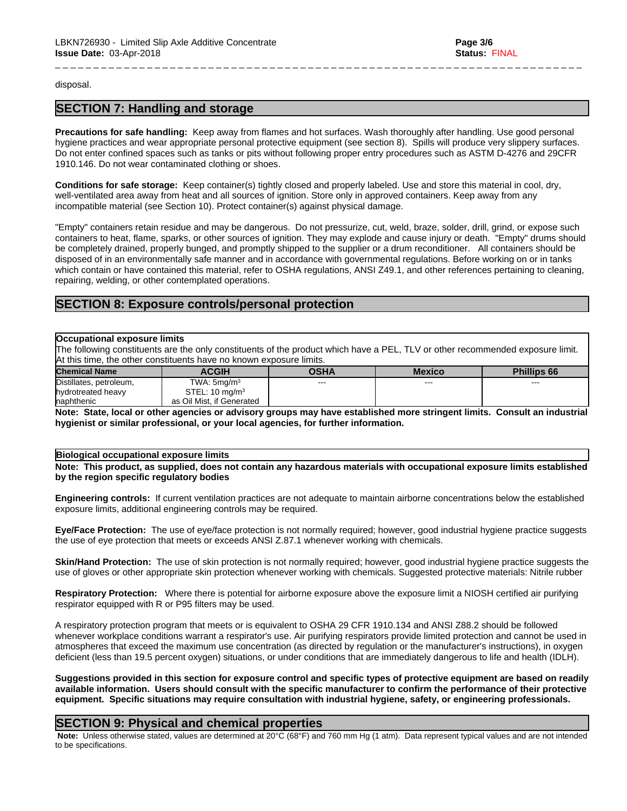disposal.

# **SECTION 7: Handling and storage**

**Precautions for safe handling:** Keep away from flames and hot surfaces. Wash thoroughly after handling. Use good personal hygiene practices and wear appropriate personal protective equipment (see section 8). Spills will produce very slippery surfaces. Do not enter confined spaces such as tanks or pits without following proper entry procedures such as ASTM D-4276 and 29CFR 1910.146. Do not wear contaminated clothing or shoes.

\_ \_ \_ \_ \_ \_ \_ \_ \_ \_ \_ \_ \_ \_ \_ \_ \_ \_ \_ \_ \_ \_ \_ \_ \_ \_ \_ \_ \_ \_ \_ \_ \_ \_ \_ \_ \_ \_ \_ \_ \_ \_ \_ \_ \_ \_ \_ \_ \_ \_ \_ \_ \_ \_ \_ \_ \_ \_ \_ \_ \_ \_ \_ \_ \_ \_ \_ \_ \_

**Conditions for safe storage:**Keep container(s) tightly closed and properly labeled. Use and store this material in cool, dry, well-ventilated area away from heat and all sources of ignition. Store only in approved containers. Keep away from any incompatible material (see Section 10). Protect container(s) against physical damage.

"Empty" containers retain residue and may be dangerous.Do not pressurize, cut, weld, braze, solder, drill, grind, or expose such containers to heat, flame, sparks, or other sources of ignition. They may explode and cause injury or death."Empty" drums should be completely drained, properly bunged, and promptly shipped to the supplier or a drum reconditioner. All containers should be disposed of in an environmentally safe manner and in accordance with governmental regulations. Before working on or in tanks which contain or have contained this material, refer to OSHA regulations, ANSI Z49.1, and other references pertaining to cleaning, repairing, welding, or other contemplated operations.

# **SECTION 8: Exposure controls/personal protection**

#### **Occupational exposure limits**

The following constituents are the only constituents of the product which have a PEL, TLV or other recommended exposure limit. At this time, the other constituents have no known exposure limits.

| <b>Chemical Name</b>    | <b>ACGIH</b>              | OSHA    | Mexico | <b>Phillips 66</b> |
|-------------------------|---------------------------|---------|--------|--------------------|
| Distillates, petroleum, | TWA: 5mq/m <sup>3</sup>   | $- - -$ | ---    | $- - -$            |
| hydrotreated heavy      | STEL: $10 \text{ mg/m}^3$ |         |        |                    |
| <b>Inaphthenic</b>      | as Oil Mist, if Generated |         |        |                    |

Note: State, local or other agencies or advisory groups may have established more stringent limits. Consult an industrial **hygienist or similar professional, or your local agencies, for further information.**

# **Biological occupational exposure limits**

Note: This product, as supplied, does not contain any hazardous materials with occupational exposure limits established **by the region specific regulatory bodies**

**Engineering controls:** If current ventilation practices are not adequate to maintain airborne concentrations below the established exposure limits, additional engineering controls may be required.

**Eye/Face Protection:** The use of eye/face protection is not normally required; however, good industrial hygiene practice suggests the use of eye protection that meets or exceeds ANSI Z.87.1 whenever working with chemicals.

**Skin/Hand Protection:** The use of skin protection is not normally required; however, good industrial hygiene practice suggests the use of gloves or other appropriate skin protection whenever working with chemicals. Suggested protective materials: Nitrile rubber

**Respiratory Protection:** Where there is potential for airborne exposure above the exposure limit a NIOSH certified air purifying respirator equipped with R or P95 filters may be used.

A respiratory protection program that meets or is equivalent to OSHA 29 CFR 1910.134 and ANSI Z88.2 should be followed whenever workplace conditions warrant a respirator's use. Air purifying respirators provide limited protection and cannot be used in atmospheres that exceed the maximum use concentration (as directed by regulation or the manufacturer's instructions), in oxygen deficient (less than 19.5 percent oxygen) situations, or under conditions that are immediately dangerous to life and health (IDLH).

Suggestions provided in this section for exposure control and specific types of protective equipment are based on readily available information. Users should consult with the specific manufacturer to confirm the performance of their protective **equipment. Specific situations may require consultation with industrial hygiene, safety, or engineering professionals.**

# **SECTION 9: Physical and chemical properties**

 **Note:** Unless otherwise stated, values are determined at 20°C (68°F) and 760 mm Hg (1 atm). Data represent typical values and are not intended to be specifications.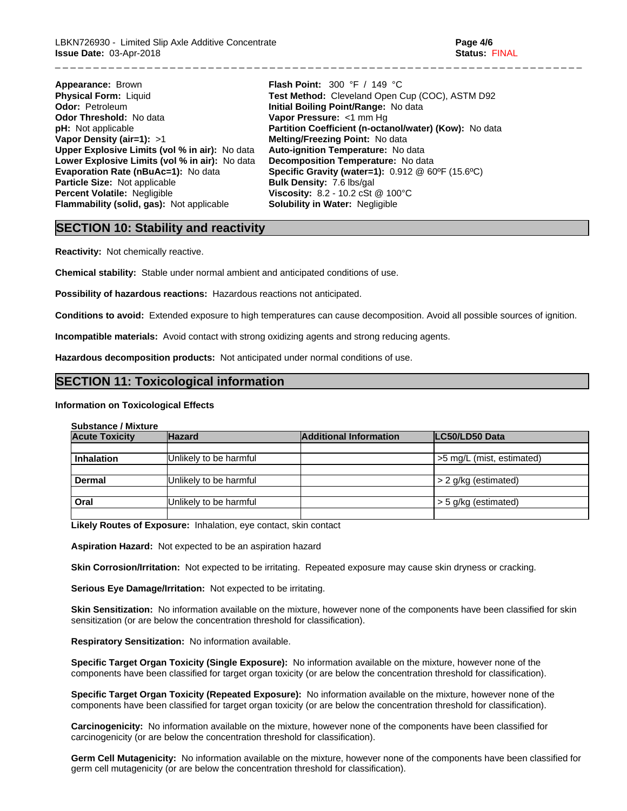**Appearance:** Brown **Flash Point:** 300 °F / 149 °C **Odor:** Petroleum **Initial Boiling Point/Range:** No data **Odor Threshold:** No data **Odor Threshold:** No data **Vapor Pressure:** <1 mm Hg **pH:** Not applicable **Partition Coefficient (n-octa Vapor Density (air=1):** >1 **Melting/Freezing Point:** No data **Upper Explosive Limits (vol% in air):** No data **Auto-ignition Temperature:** No data **Lower Explosive Limits (vol% in air):** No data **Decomposition Temperature:** No data **Particle Size:** Not applicable **Bulk Density:** 7.6 lbs/gal **Percent Volatile:** Negligible **Viscosity:** 8.2 - 10.2 cSt @ 100°C **Flammability (solid, gas):** Not applicable **Solubility in Water:** Negligible

**Physical Form:** Liquid **Test Method:** Cleveland Open Cup (COC), ASTM D92 **Odor:** Petroleum **Contract Cup (COC), ASTM D92 Partition Coefficient (n-octanol/water) (Kow):** No data **Evaporation Rate (nBuAc=1):** No data **Specific Gravity (water=1):** 0.912 @ 60ºF (15.6ºC)

\_ \_ \_ \_ \_ \_ \_ \_ \_ \_ \_ \_ \_ \_ \_ \_ \_ \_ \_ \_ \_ \_ \_ \_ \_ \_ \_ \_ \_ \_ \_ \_ \_ \_ \_ \_ \_ \_ \_ \_ \_ \_ \_ \_ \_ \_ \_ \_ \_ \_ \_ \_ \_ \_ \_ \_ \_ \_ \_ \_ \_ \_ \_ \_ \_ \_ \_ \_ \_

# **SECTION 10: Stability and reactivity**

**Reactivity:** Not chemically reactive.

**Chemical stability:** Stable under normal ambient and anticipated conditions of use.

**Possibility of hazardous reactions:** Hazardous reactions not anticipated.

**Conditions to avoid:** Extended exposure to high temperatures can cause decomposition. Avoid all possible sources of ignition.

**Incompatible materials:** Avoid contact with strong oxidizing agents and strong reducing agents.

**Hazardous decomposition products:** Not anticipated under normal conditions of use.

# **SECTION 11: Toxicological information**

#### **Information on Toxicological Effects**

#### **Substance / Mixture**

| <b>Acute Toxicity</b> | <b>Hazard</b>          | <b>Additional Information</b> | <b>ILC50/LD50 Data</b>    |
|-----------------------|------------------------|-------------------------------|---------------------------|
|                       |                        |                               |                           |
| <b>Inhalation</b>     | Unlikely to be harmful |                               | >5 mg/L (mist, estimated) |
|                       |                        |                               |                           |
| Dermal                | Unlikely to be harmful |                               | > 2 g/kg (estimated)      |
|                       |                        |                               |                           |
| Oral                  | Unlikely to be harmful |                               | > 5 g/kg (estimated)      |
|                       |                        |                               |                           |

**Likely Routes of Exposure:** Inhalation, eye contact, skin contact

**Aspiration Hazard:** Not expected to be an aspiration hazard

**Skin Corrosion/Irritation:** Not expected to be irritating. Repeated exposure may cause skin dryness or cracking.

**Serious Eye Damage/Irritation:** Not expected to be irritating.

**Skin Sensitization:** No information available on the mixture, however none of the components have been classified for skin sensitization (or are below the concentration threshold for classification).

**Respiratory Sensitization:** No information available.

**Specific Target Organ Toxicity (Single Exposure):** No information available on the mixture, however none of the components have been classified for target organ toxicity (or are below the concentration threshold for classification).

**Specific Target Organ Toxicity (Repeated Exposure):** No information available on the mixture, however none of the components have been classified for target organ toxicity (or are below the concentration threshold for classification).

**Carcinogenicity:** No information available on the mixture, however none of the components have been classified for carcinogenicity (or are below the concentration threshold for classification).

**Germ Cell Mutagenicity:** No information available on the mixture, however none of the components have been classified for germ cell mutagenicity (or are below the concentration threshold for classification).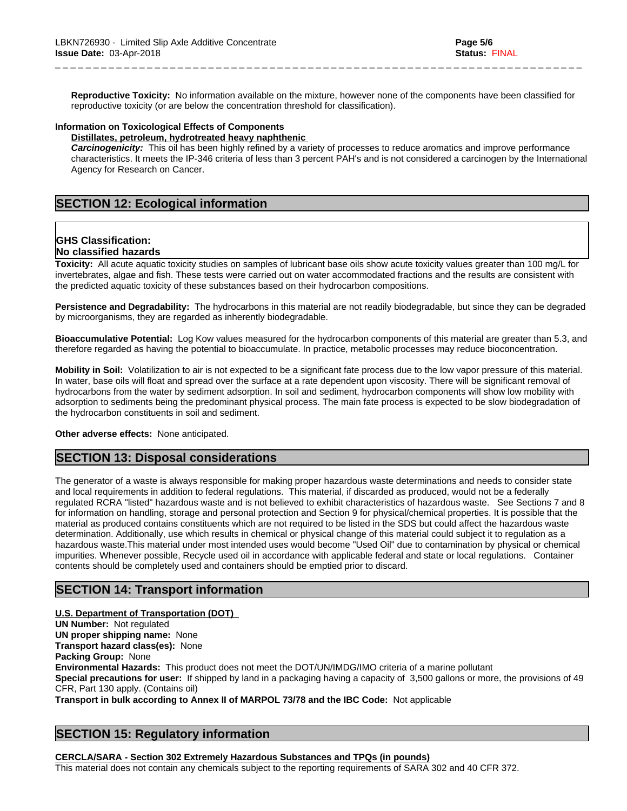**Reproductive Toxicity:** No information available on the mixture, however none of the components have been classified for reproductive toxicity (or are below the concentration threshold for classification).

\_ \_ \_ \_ \_ \_ \_ \_ \_ \_ \_ \_ \_ \_ \_ \_ \_ \_ \_ \_ \_ \_ \_ \_ \_ \_ \_ \_ \_ \_ \_ \_ \_ \_ \_ \_ \_ \_ \_ \_ \_ \_ \_ \_ \_ \_ \_ \_ \_ \_ \_ \_ \_ \_ \_ \_ \_ \_ \_ \_ \_ \_ \_ \_ \_ \_ \_ \_ \_

# **Information on Toxicological Effects of Components**

#### **Distillates, petroleum, hydrotreated heavy naphthenic**

*Carcinogenicity:* This oil has been highly refined by a variety of processes to reduce aromatics and improve performance characteristics. It meets the IP-346 criteria of less than 3 percent PAH's and isnot considered a carcinogen by the International Agency for Research on Cancer.

# **SECTION 12: Ecological information**

# **GHS Classification:**

# **No classified hazards**

**Toxicity:** All acute aquatic toxicity studies on samples of lubricant base oils show acute toxicity values greater than 100 mg/L for invertebrates, algae and fish. These tests were carried out on water accommodated fractions and the results are consistent with the predicted aquatic toxicity of these substances based on their hydrocarbon compositions.

**Persistence and Degradability:** The hydrocarbons in this material are not readily biodegradable, but since they can be degraded by microorganisms, they are regarded as inherently biodegradable.

**Bioaccumulative Potential:** Log Kow values measured for the hydrocarbon components of this material are greater than 5.3, and therefore regarded as having the potential to bioaccumulate. In practice, metabolic processes may reduce bioconcentration.

**Mobility in Soil:** Volatilization to air is not expected to be a significant fate process due to the low vapor pressure of this material. In water, base oils will float and spread over the surface at a rate dependent upon viscosity. There will be significant removal of hydrocarbons from the water by sediment adsorption. In soil and sediment, hydrocarbon components will show low mobility with adsorption to sediments being the predominant physical process. The main fate process is expected to be slow biodegradation of the hydrocarbon constituents in soil and sediment.

#### **Other adverse effects:** None anticipated.

# **SECTION 13: Disposal considerations**

The generator of a waste is always responsible for making proper hazardous waste determinations and needs to consider state and local requirements in addition to federal regulations. This material, if discarded as produced, would not be a federally regulated RCRA "listed" hazardous waste and is not believed to exhibit characteristics of hazardous waste. See Sections 7 and 8 for information on handling, storage and personal protection and Section 9 for physical/chemical properties. It is possible that the material as produced contains constituents which are not required to be listed in the SDS but could affect the hazardous waste determination. Additionally, use which results in chemical or physical change of this material could subject it to regulation as a hazardous waste.This material under most intended uses would become "Used Oil" due to contamination by physical or chemical impurities. Whenever possible, Recycle used oil in accordance with applicable federal and state or local regulations. Container contents should be completely used and containers should be emptied prior to discard.

# **SECTION 14: Transport information**

## **U.S. Department of Transportation (DOT)**

**UN Number:** Not regulated **UN proper shipping name:** None **Transport hazard class(es):** None **Packing Group:** None **Environmental Hazards:** This product does not meet the DOT/UN/IMDG/IMO criteria of a marine pollutant **Special precautions for user:** If shipped by land in a packaging having a capacity of 3,500 gallons or more, the provisions of 49 CFR, Part 130 apply. (Contains oil) **Transport in bulk according to Annex II of MARPOL 73/78 and the IBC Code:** Not applicable

# **SECTION 15: Regulatory information**

## **CERCLA/SARA - Section 302 Extremely Hazardous Substances and TPQs (in pounds)**

This material does not contain any chemicals subject to the reporting requirements of SARA 302 and 40 CFR 372.